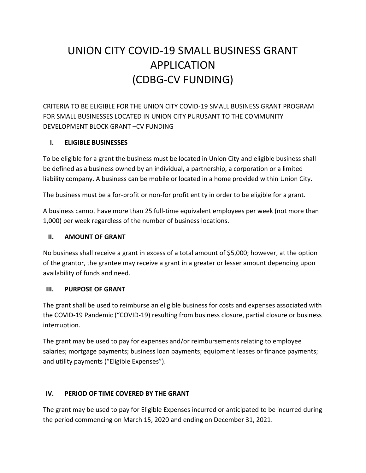# UNION CITY COVID-19 SMALL BUSINESS GRANT APPLICATION (CDBG-CV FUNDING)

CRITERIA TO BE ELIGIBLE FOR THE UNION CITY COVID-19 SMALL BUSINESS GRANT PROGRAM FOR SMALL BUSINESSES LOCATED IN UNION CITY PURUSANT TO THE COMMUNITY DEVELOPMENT BLOCK GRANT –CV FUNDING

### **I. ELIGIBLE BUSINESSES**

To be eligible for a grant the business must be located in Union City and eligible business shall be defined as a business owned by an individual, a partnership, a corporation or a limited liability company. A business can be mobile or located in a home provided within Union City.

The business must be a for-profit or non-for profit entity in order to be eligible for a grant.

A business cannot have more than 25 full-time equivalent employees per week (not more than 1,000) per week regardless of the number of business locations.

### **II. AMOUNT OF GRANT**

No business shall receive a grant in excess of a total amount of \$5,000; however, at the option of the grantor, the grantee may receive a grant in a greater or lesser amount depending upon availability of funds and need.

### **III. PURPOSE OF GRANT**

The grant shall be used to reimburse an eligible business for costs and expenses associated with the COVID-19 Pandemic ("COVID-19) resulting from business closure, partial closure or business interruption.

The grant may be used to pay for expenses and/or reimbursements relating to employee salaries; mortgage payments; business loan payments; equipment leases or finance payments; and utility payments ("Eligible Expenses").

### **IV. PERIOD OF TIME COVERED BY THE GRANT**

The grant may be used to pay for Eligible Expenses incurred or anticipated to be incurred during the period commencing on March 15, 2020 and ending on December 31, 2021.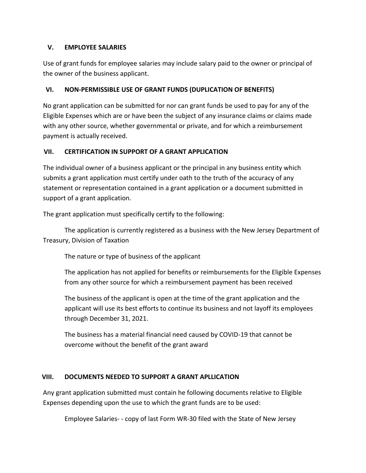#### **V. EMPLOYEE SALARIES**

Use of grant funds for employee salaries may include salary paid to the owner or principal of the owner of the business applicant.

### **VI. NON-PERMISSIBLE USE OF GRANT FUNDS (DUPLICATION OF BENEFITS)**

No grant application can be submitted for nor can grant funds be used to pay for any of the Eligible Expenses which are or have been the subject of any insurance claims or claims made with any other source, whether governmental or private, and for which a reimbursement payment is actually received.

### **VII. CERTIFICATION IN SUPPORT OF A GRANT APPLICATION**

The individual owner of a business applicant or the principal in any business entity which submits a grant application must certify under oath to the truth of the accuracy of any statement or representation contained in a grant application or a document submitted in support of a grant application.

The grant application must specifically certify to the following:

The application is currently registered as a business with the New Jersey Department of Treasury, Division of Taxation

The nature or type of business of the applicant

The application has not applied for benefits or reimbursements for the Eligible Expenses from any other source for which a reimbursement payment has been received

The business of the applicant is open at the time of the grant application and the applicant will use its best efforts to continue its business and not layoff its employees through December 31, 2021.

The business has a material financial need caused by COVID-19 that cannot be overcome without the benefit of the grant award

### **VIII. DOCUMENTS NEEDED TO SUPPORT A GRANT APLLICATION**

Any grant application submitted must contain he following documents relative to Eligible Expenses depending upon the use to which the grant funds are to be used:

Employee Salaries- - copy of last Form WR-30 filed with the State of New Jersey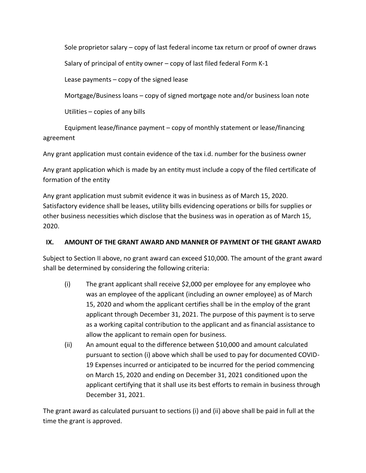Sole proprietor salary – copy of last federal income tax return or proof of owner draws

Salary of principal of entity owner – copy of last filed federal Form K-1

Lease payments – copy of the signed lease

Mortgage/Business loans – copy of signed mortgage note and/or business loan note

Utilities – copies of any bills

Equipment lease/finance payment – copy of monthly statement or lease/financing agreement

Any grant application must contain evidence of the tax i.d. number for the business owner

Any grant application which is made by an entity must include a copy of the filed certificate of formation of the entity

Any grant application must submit evidence it was in business as of March 15, 2020. Satisfactory evidence shall be leases, utility bills evidencing operations or bills for supplies or other business necessities which disclose that the business was in operation as of March 15, 2020.

### **IX. AMOUNT OF THE GRANT AWARD AND MANNER OF PAYMENT OF THE GRANT AWARD**

Subject to Section II above, no grant award can exceed \$10,000. The amount of the grant award shall be determined by considering the following criteria:

- (i) The grant applicant shall receive \$2,000 per employee for any employee who was an employee of the applicant (including an owner employee) as of March 15, 2020 and whom the applicant certifies shall be in the employ of the grant applicant through December 31, 2021. The purpose of this payment is to serve as a working capital contribution to the applicant and as financial assistance to allow the applicant to remain open for business.
- (ii) An amount equal to the difference between \$10,000 and amount calculated pursuant to section (i) above which shall be used to pay for documented COVID-19 Expenses incurred or anticipated to be incurred for the period commencing on March 15, 2020 and ending on December 31, 2021 conditioned upon the applicant certifying that it shall use its best efforts to remain in business through December 31, 2021.

The grant award as calculated pursuant to sections (i) and (ii) above shall be paid in full at the time the grant is approved.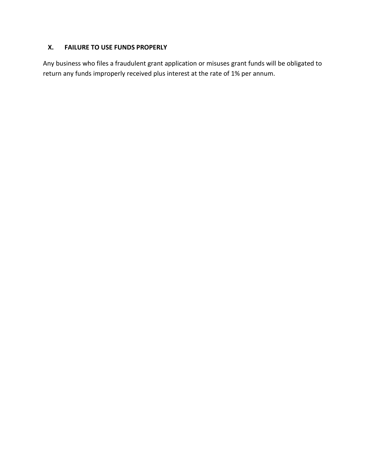### **X. FAILURE TO USE FUNDS PROPERLY**

Any business who files a fraudulent grant application or misuses grant funds will be obligated to return any funds improperly received plus interest at the rate of 1% per annum.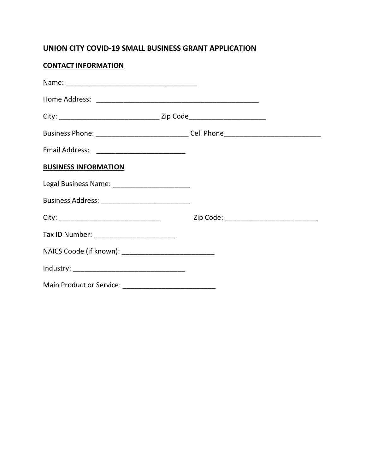### **UNION CITY COVID-19 SMALL BUSINESS GRANT APPLICATION**

# **CONTACT INFORMATION**

| Business Phone: _________________________________Cell Phone_____________________ |                                           |  |
|----------------------------------------------------------------------------------|-------------------------------------------|--|
| Email Address: _____________________________                                     |                                           |  |
| <b>BUSINESS INFORMATION</b>                                                      |                                           |  |
|                                                                                  |                                           |  |
| Business Address: _______________________________                                |                                           |  |
|                                                                                  | Zip Code: _______________________________ |  |
| Tax ID Number: _______________________                                           |                                           |  |
|                                                                                  |                                           |  |
|                                                                                  |                                           |  |
|                                                                                  |                                           |  |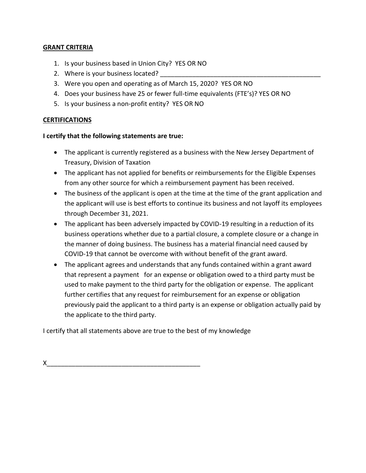#### **GRANT CRITERIA**

- 1. Is your business based in Union City? YES OR NO
- 2. Where is your business located?
- 3. Were you open and operating as of March 15, 2020? YES OR NO
- 4. Does your business have 25 or fewer full-time equivalents (FTE's)? YES OR NO
- 5. Is your business a non-profit entity? YES OR NO

#### **CERTIFICATIONS**

#### **I certify that the following statements are true:**

- The applicant is currently registered as a business with the New Jersey Department of Treasury, Division of Taxation
- The applicant has not applied for benefits or reimbursements for the Eligible Expenses from any other source for which a reimbursement payment has been received.
- The business of the applicant is open at the time at the time of the grant application and the applicant will use is best efforts to continue its business and not layoff its employees through December 31, 2021.
- The applicant has been adversely impacted by COVID-19 resulting in a reduction of its business operations whether due to a partial closure, a complete closure or a change in the manner of doing business. The business has a material financial need caused by COVID-19 that cannot be overcome with without benefit of the grant award.
- The applicant agrees and understands that any funds contained within a grant award that represent a payment for an expense or obligation owed to a third party must be used to make payment to the third party for the obligation or expense. The applicant further certifies that any request for reimbursement for an expense or obligation previously paid the applicant to a third party is an expense or obligation actually paid by the applicate to the third party.

I certify that all statements above are true to the best of my knowledge

 $X_\perp$  , we have the set of the set of the set of the set of the set of the set of the set of the set of the set of the set of the set of the set of the set of the set of the set of the set of the set of the set of the se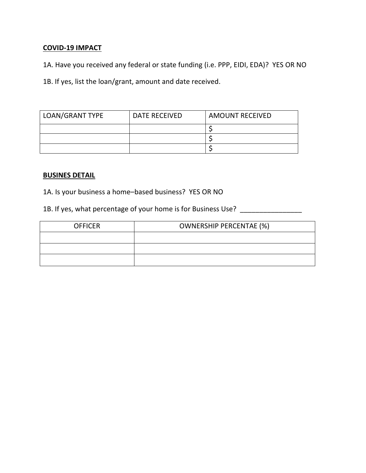### **COVID-19 IMPACT**

1A. Have you received any federal or state funding (i.e. PPP, EIDI, EDA)? YES OR NO

1B. If yes, list the loan/grant, amount and date received.

| LOAN/GRANT TYPE | DATE RECEIVED | <b>AMOUNT RECEIVED</b> |
|-----------------|---------------|------------------------|
|                 |               |                        |
|                 |               |                        |
|                 |               |                        |

### **BUSINES DETAIL**

1A. Is your business a home–based business? YES OR NO

1B. If yes, what percentage of your home is for Business Use? \_\_\_\_\_\_\_\_\_\_\_\_\_\_\_\_\_\_

| <b>OFFICER</b> | <b>OWNERSHIP PERCENTAE (%)</b> |
|----------------|--------------------------------|
|                |                                |
|                |                                |
|                |                                |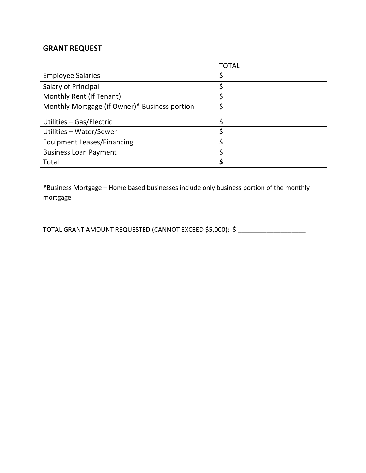### **GRANT REQUEST**

|                                               | <b>TOTAL</b> |
|-----------------------------------------------|--------------|
| <b>Employee Salaries</b>                      | Ş            |
| Salary of Principal                           | Ċ            |
| Monthly Rent (If Tenant)                      |              |
| Monthly Mortgage (if Owner)* Business portion |              |
| Utilities - Gas/Electric                      | ς            |
| Utilities - Water/Sewer                       |              |
| <b>Equipment Leases/Financing</b>             |              |
| <b>Business Loan Payment</b>                  |              |
| Total                                         |              |

\*Business Mortgage – Home based businesses include only business portion of the monthly mortgage

TOTAL GRANT AMOUNT REQUESTED (CANNOT EXCEED \$5,000): \$ \_\_\_\_\_\_\_\_\_\_\_\_\_\_\_\_\_\_\_\_\_\_\_\_\_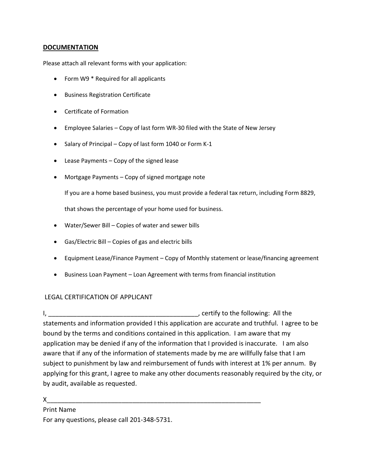#### **DOCUMENTATION**

Please attach all relevant forms with your application:

- Form W9 \* Required for all applicants
- **•** Business Registration Certificate
- Certificate of Formation
- Employee Salaries Copy of last form WR-30 filed with the State of New Jersey
- Salary of Principal Copy of last form 1040 or Form K-1
- Lease Payments Copy of the signed lease
- Mortgage Payments Copy of signed mortgage note

If you are a home based business, you must provide a federal tax return, including Form 8829,

that shows the percentage of your home used for business.

- Water/Sewer Bill Copies of water and sewer bills
- Gas/Electric Bill Copies of gas and electric bills
- Equipment Lease/Finance Payment Copy of Monthly statement or lease/financing agreement
- Business Loan Payment Loan Agreement with terms from financial institution

#### LEGAL CERTIFICATION OF APPLICANT

I, the same of the set of the following: All the set of the following: All the set of the following: All the set of the set of the set of the set of the set of the set of the set of the set of the set of the set of the set statements and information provided I this application are accurate and truthful. I agree to be bound by the terms and conditions contained in this application. I am aware that my application may be denied if any of the information that I provided is inaccurate. I am also aware that if any of the information of statements made by me are willfully false that I am subject to punishment by law and reimbursement of funds with interest at 1% per annum. By applying for this grant, I agree to make any other documents reasonably required by the city, or by audit, available as requested.

#### X\_\_\_\_\_\_\_\_\_\_\_\_\_\_\_\_\_\_\_\_\_\_\_\_\_\_\_\_\_\_\_\_\_\_\_\_\_\_\_\_\_\_\_\_\_\_\_\_\_\_\_\_\_\_\_\_\_\_\_\_

Print Name

For any questions, please call 201-348-5731.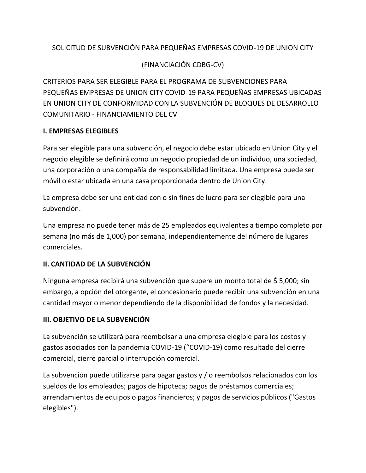### SOLICITUD DE SUBVENCIÓN PARA PEQUEÑAS EMPRESAS COVID-19 DE UNION CITY

### (FINANCIACIÓN CDBG-CV)

CRITERIOS PARA SER ELEGIBLE PARA EL PROGRAMA DE SUBVENCIONES PARA PEQUEÑAS EMPRESAS DE UNION CITY COVID-19 PARA PEQUEÑAS EMPRESAS UBICADAS EN UNION CITY DE CONFORMIDAD CON LA SUBVENCIÓN DE BLOQUES DE DESARROLLO COMUNITARIO - FINANCIAMIENTO DEL CV

### **I. EMPRESAS ELEGIBLES**

Para ser elegible para una subvención, el negocio debe estar ubicado en Union City y el negocio elegible se definirá como un negocio propiedad de un individuo, una sociedad, una corporación o una compañía de responsabilidad limitada. Una empresa puede ser móvil o estar ubicada en una casa proporcionada dentro de Union City.

La empresa debe ser una entidad con o sin fines de lucro para ser elegible para una subvención.

Una empresa no puede tener más de 25 empleados equivalentes a tiempo completo por semana (no más de 1,000) por semana, independientemente del número de lugares comerciales.

### **II. CANTIDAD DE LA SUBVENCIÓN**

Ninguna empresa recibirá una subvención que supere un monto total de \$ 5,000; sin embargo, a opción del otorgante, el concesionario puede recibir una subvención en una cantidad mayor o menor dependiendo de la disponibilidad de fondos y la necesidad.

### **III. OBJETIVO DE LA SUBVENCIÓN**

La subvención se utilizará para reembolsar a una empresa elegible para los costos y gastos asociados con la pandemia COVID-19 ("COVID-19) como resultado del cierre comercial, cierre parcial o interrupción comercial.

La subvención puede utilizarse para pagar gastos y / o reembolsos relacionados con los sueldos de los empleados; pagos de hipoteca; pagos de préstamos comerciales; arrendamientos de equipos o pagos financieros; y pagos de servicios públicos ("Gastos elegibles").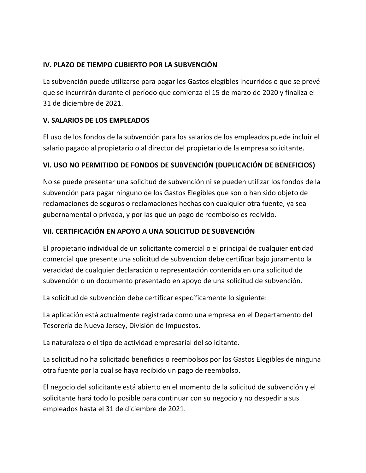### **IV. PLAZO DE TIEMPO CUBIERTO POR LA SUBVENCIÓN**

La subvención puede utilizarse para pagar los Gastos elegibles incurridos o que se prevé que se incurrirán durante el período que comienza el 15 de marzo de 2020 y finaliza el 31 de diciembre de 2021.

### **V. SALARIOS DE LOS EMPLEADOS**

El uso de los fondos de la subvención para los salarios de los empleados puede incluir el salario pagado al propietario o al director del propietario de la empresa solicitante.

### **VI. USO NO PERMITIDO DE FONDOS DE SUBVENCIÓN (DUPLICACIÓN DE BENEFICIOS)**

No se puede presentar una solicitud de subvención ni se pueden utilizar los fondos de la subvención para pagar ninguno de los Gastos Elegibles que son o han sido objeto de reclamaciones de seguros o reclamaciones hechas con cualquier otra fuente, ya sea gubernamental o privada, y por las que un pago de reembolso es recivido.

### **VII. CERTIFICACIÓN EN APOYO A UNA SOLICITUD DE SUBVENCIÓN**

El propietario individual de un solicitante comercial o el principal de cualquier entidad comercial que presente una solicitud de subvención debe certificar bajo juramento la veracidad de cualquier declaración o representación contenida en una solicitud de subvención o un documento presentado en apoyo de una solicitud de subvención.

La solicitud de subvención debe certificar específicamente lo siguiente:

La aplicación está actualmente registrada como una empresa en el Departamento del Tesorería de Nueva Jersey, División de Impuestos.

La naturaleza o el tipo de actividad empresarial del solicitante.

La solicitud no ha solicitado beneficios o reembolsos por los Gastos Elegibles de ninguna otra fuente por la cual se haya recibido un pago de reembolso.

El negocio del solicitante está abierto en el momento de la solicitud de subvención y el solicitante hará todo lo posible para continuar con su negocio y no despedir a sus empleados hasta el 31 de diciembre de 2021.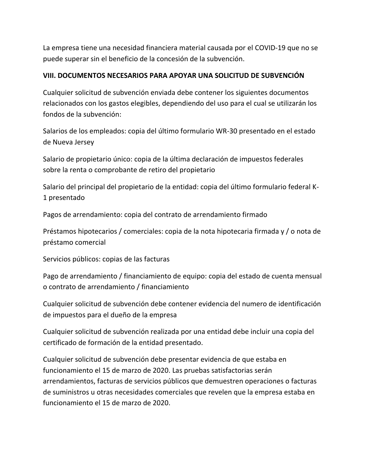La empresa tiene una necesidad financiera material causada por el COVID-19 que no se puede superar sin el beneficio de la concesión de la subvención.

### **VIII. DOCUMENTOS NECESARIOS PARA APOYAR UNA SOLICITUD DE SUBVENCIÓN**

Cualquier solicitud de subvención enviada debe contener los siguientes documentos relacionados con los gastos elegibles, dependiendo del uso para el cual se utilizarán los fondos de la subvención:

Salarios de los empleados: copia del último formulario WR-30 presentado en el estado de Nueva Jersey

Salario de propietario único: copia de la última declaración de impuestos federales sobre la renta o comprobante de retiro del propietario

Salario del principal del propietario de la entidad: copia del último formulario federal K-1 presentado

Pagos de arrendamiento: copia del contrato de arrendamiento firmado

Préstamos hipotecarios / comerciales: copia de la nota hipotecaria firmada y / o nota de préstamo comercial

Servicios públicos: copias de las facturas

Pago de arrendamiento / financiamiento de equipo: copia del estado de cuenta mensual o contrato de arrendamiento / financiamiento

Cualquier solicitud de subvención debe contener evidencia del numero de identificación de impuestos para el dueño de la empresa

Cualquier solicitud de subvención realizada por una entidad debe incluir una copia del certificado de formación de la entidad presentado.

Cualquier solicitud de subvención debe presentar evidencia de que estaba en funcionamiento el 15 de marzo de 2020. Las pruebas satisfactorias serán arrendamientos, facturas de servicios públicos que demuestren operaciones o facturas de suministros u otras necesidades comerciales que revelen que la empresa estaba en funcionamiento el 15 de marzo de 2020.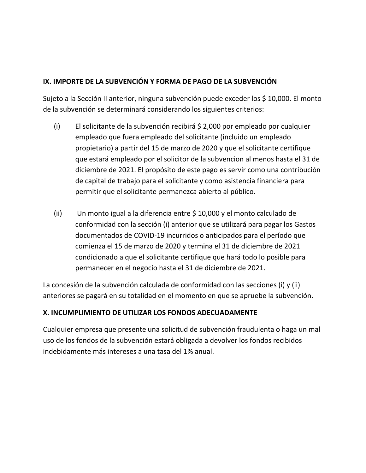### **IX. IMPORTE DE LA SUBVENCIÓN Y FORMA DE PAGO DE LA SUBVENCIÓN**

Sujeto a la Sección II anterior, ninguna subvención puede exceder los \$ 10,000. El monto de la subvención se determinará considerando los siguientes criterios:

- (i) El solicitante de la subvención recibirá \$ 2,000 por empleado por cualquier empleado que fuera empleado del solicitante (incluido un empleado propietario) a partir del 15 de marzo de 2020 y que el solicitante certifique que estará empleado por el solicitor de la subvencion al menos hasta el 31 de diciembre de 2021. El propósito de este pago es servir como una contribución de capital de trabajo para el solicitante y como asistencia financiera para permitir que el solicitante permanezca abierto al público.
- (ii) Un monto igual a la diferencia entre \$ 10,000 y el monto calculado de conformidad con la sección (i) anterior que se utilizará para pagar los Gastos documentados de COVID-19 incurridos o anticipados para el período que comienza el 15 de marzo de 2020 y termina el 31 de diciembre de 2021 condicionado a que el solicitante certifique que hará todo lo posible para permanecer en el negocio hasta el 31 de diciembre de 2021.

La concesión de la subvención calculada de conformidad con las secciones (i) y (ii) anteriores se pagará en su totalidad en el momento en que se apruebe la subvención.

### **X. INCUMPLIMIENTO DE UTILIZAR LOS FONDOS ADECUADAMENTE**

Cualquier empresa que presente una solicitud de subvención fraudulenta o haga un mal uso de los fondos de la subvención estará obligada a devolver los fondos recibidos indebidamente más intereses a una tasa del 1% anual.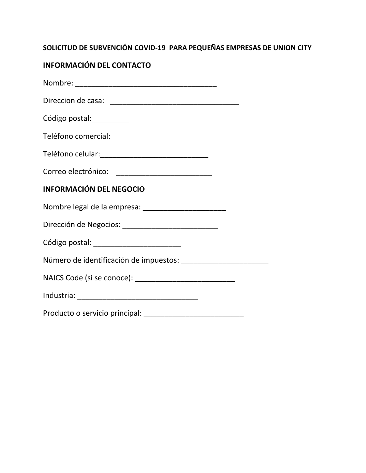# **SOLICITUD DE SUBVENCIÓN COVID-19 PARA PEQUEÑAS EMPRESAS DE UNION CITY**

# **INFORMACIÓN DEL CONTACTO**

| Código postal:__________       |
|--------------------------------|
|                                |
|                                |
|                                |
| <b>INFORMACIÓN DEL NEGOCIO</b> |
|                                |
|                                |
|                                |
|                                |
|                                |
|                                |
|                                |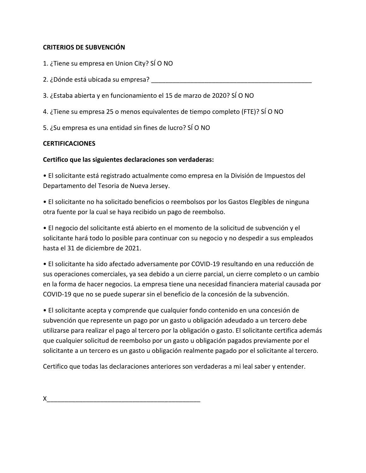### **CRITERIOS DE SUBVENCIÓN**

- 1. ¿Tiene su empresa en Union City? SÍ O NO
- 2. ¿Dónde está ubicada su empresa?
- 3. ¿Estaba abierta y en funcionamiento el 15 de marzo de 2020? SÍ O NO
- 4. ¿Tiene su empresa 25 o menos equivalentes de tiempo completo (FTE)? SÍ O NO
- 5. ¿Su empresa es una entidad sin fines de lucro? SÍ O NO

### **CERTIFICACIONES**

### **Certifico que las siguientes declaraciones son verdaderas:**

• El solicitante está registrado actualmente como empresa en la División de Impuestos del Departamento del Tesoria de Nueva Jersey.

• El solicitante no ha solicitado beneficios o reembolsos por los Gastos Elegibles de ninguna otra fuente por la cual se haya recibido un pago de reembolso.

• El negocio del solicitante está abierto en el momento de la solicitud de subvención y el solicitante hará todo lo posible para continuar con su negocio y no despedir a sus empleados hasta el 31 de diciembre de 2021.

• El solicitante ha sido afectado adversamente por COVID-19 resultando en una reducción de sus operaciones comerciales, ya sea debido a un cierre parcial, un cierre completo o un cambio en la forma de hacer negocios. La empresa tiene una necesidad financiera material causada por COVID-19 que no se puede superar sin el beneficio de la concesión de la subvención.

• El solicitante acepta y comprende que cualquier fondo contenido en una concesión de subvención que represente un pago por un gasto u obligación adeudado a un tercero debe utilizarse para realizar el pago al tercero por la obligación o gasto. El solicitante certifica además que cualquier solicitud de reembolso por un gasto u obligación pagados previamente por el solicitante a un tercero es un gasto u obligación realmente pagado por el solicitante al tercero.

Certifico que todas las declaraciones anteriores son verdaderas a mi leal saber y entender.

 $X$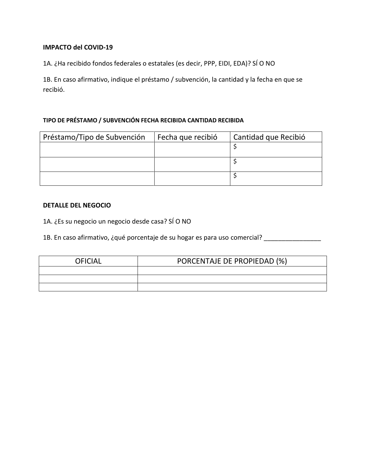#### **IMPACTO del COVID-19**

1A. ¿Ha recibido fondos federales o estatales (es decir, PPP, EIDI, EDA)? SÍ O NO

1B. En caso afirmativo, indique el préstamo / subvención, la cantidad y la fecha en que se recibió.

#### **TIPO DE PRÉSTAMO / SUBVENCIÓN FECHA RECIBIDA CANTIDAD RECIBIDA**

| Préstamo/Tipo de Subvención | Fecha que recibió | Cantidad que Recibió |
|-----------------------------|-------------------|----------------------|
|                             |                   |                      |
|                             |                   |                      |
|                             |                   |                      |

#### **DETALLE DEL NEGOCIO**

1A. ¿Es su negocio un negocio desde casa? SÍ O NO

1B. En caso afirmativo, ¿qué porcentaje de su hogar es para uso comercial? \_\_\_\_\_\_\_\_\_\_\_\_\_\_\_\_\_\_\_\_\_\_\_\_\_\_\_\_\_\_\_\_\_\_\_

| <b>OFICIAL</b> | PORCENTAJE DE PROPIEDAD (%) |  |
|----------------|-----------------------------|--|
|                |                             |  |
|                |                             |  |
|                |                             |  |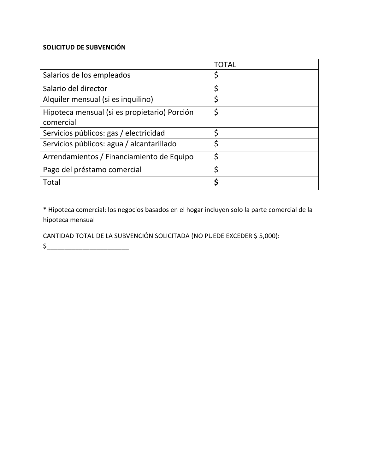### **SOLICITUD DE SUBVENCIÓN**

|                                                           | TOTAL |
|-----------------------------------------------------------|-------|
| Salarios de los empleados                                 | Ş     |
| Salario del director                                      | \$    |
| Alquiler mensual (si es inquilino)                        | \$    |
| Hipoteca mensual (si es propietario) Porción<br>comercial | \$    |
| Servicios públicos: gas / electricidad                    |       |
| Servicios públicos: agua / alcantarillado                 |       |
| Arrendamientos / Financiamiento de Equipo                 | \$    |
| Pago del préstamo comercial                               | \$    |
| Total                                                     |       |

\* Hipoteca comercial: los negocios basados en el hogar incluyen solo la parte comercial de la hipoteca mensual

CANTIDAD TOTAL DE LA SUBVENCIÓN SOLICITADA (NO PUEDE EXCEDER \$ 5,000):

 $\zeta$